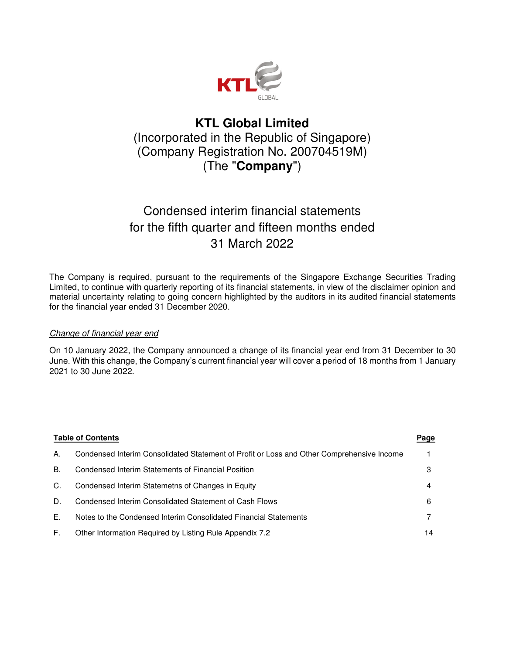

# **KTL Global Limited** (Incorporated in the Republic of Singapore) (Company Registration No. 200704519M) (The "**Company**")

# Condensed interim financial statements for the fifth quarter and fifteen months ended 31 March 2022

The Company is required, pursuant to the requirements of the Singapore Exchange Securities Trading Limited, to continue with quarterly reporting of its financial statements, in view of the disclaimer opinion and material uncertainty relating to going concern highlighted by the auditors in its audited financial statements for the financial year ended 31 December 2020.

# Change of financial year end

On 10 January 2022, the Company announced a change of its financial year end from 31 December to 30 June. With this change, the Company's current financial year will cover a period of 18 months from 1 January 2021 to 30 June 2022.

|    | <b>Table of Contents</b>                                                                  | Page |
|----|-------------------------------------------------------------------------------------------|------|
| Α. | Condensed Interim Consolidated Statement of Profit or Loss and Other Comprehensive Income |      |
| В. | Condensed Interim Statements of Financial Position                                        | З    |
| C. | Condensed Interim Statemetns of Changes in Equity                                         |      |
| D. | Condensed Interim Consolidated Statement of Cash Flows                                    | 6    |
| Е. | Notes to the Condensed Interim Consolidated Financial Statements                          |      |
| F. | Other Information Required by Listing Rule Appendix 7.2                                   | 14   |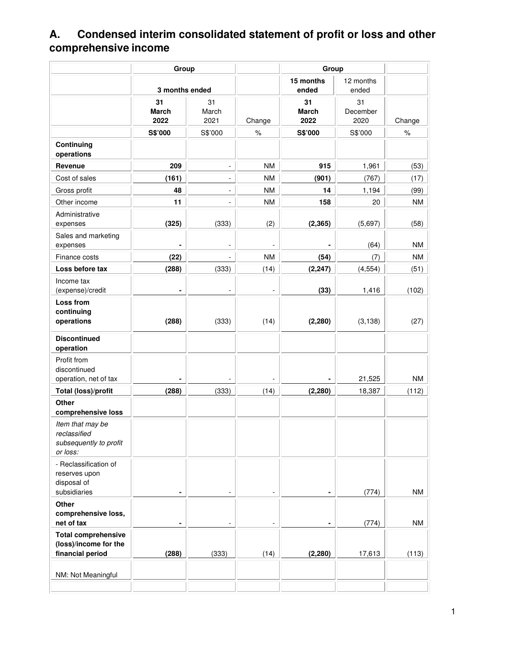# **A. Condensed interim consolidated statement of profit or loss and other comprehensive income**

|                                                                        | Group                |                              |                          | Group                |                    |           |
|------------------------------------------------------------------------|----------------------|------------------------------|--------------------------|----------------------|--------------------|-----------|
|                                                                        | 3 months ended       |                              |                          | 15 months<br>ended   | 12 months<br>ended |           |
|                                                                        | 31                   | 31                           |                          | 31                   | 31                 |           |
|                                                                        | <b>March</b><br>2022 | March<br>2021                | Change                   | <b>March</b><br>2022 | December<br>2020   | Change    |
|                                                                        | S\$'000              | S\$'000                      | $\%$                     | S\$'000              | S\$'000            | $\%$      |
| Continuing                                                             |                      |                              |                          |                      |                    |           |
| operations                                                             |                      |                              |                          |                      |                    |           |
| Revenue                                                                | 209                  | $\overline{\phantom{a}}$     | <b>NM</b>                | 915                  | 1,961              | (53)      |
| Cost of sales                                                          | (161)                | $\qquad \qquad \blacksquare$ | <b>NM</b>                | (901)                | (767)              | (17)      |
| Gross profit                                                           | 48                   | $\blacksquare$               | <b>NM</b>                | 14                   | 1,194              | (99)      |
| Other income                                                           | 11                   | $\overline{\phantom{a}}$     | <b>NM</b>                | 158                  | 20                 | <b>NM</b> |
| Administrative<br>expenses                                             | (325)                | (333)                        | (2)                      | (2, 365)             | (5,697)            | (58)      |
| Sales and marketing                                                    |                      |                              |                          |                      |                    |           |
| expenses                                                               |                      |                              |                          |                      | (64)               | <b>NM</b> |
| Finance costs                                                          | (22)                 |                              | <b>NM</b>                | (54)                 | (7)                | <b>NM</b> |
| Loss before tax                                                        | (288)                | (333)                        | (14)                     | (2, 247)             | (4, 554)           | (51)      |
| Income tax<br>(expense)/credit                                         | $\blacksquare$       |                              | $\overline{\phantom{0}}$ | (33)                 | 1,416              | (102)     |
| Loss from<br>continuing<br>operations                                  | (288)                | (333)                        | (14)                     | (2, 280)             | (3, 138)           | (27)      |
|                                                                        |                      |                              |                          |                      |                    |           |
| <b>Discontinued</b><br>operation                                       |                      |                              |                          |                      |                    |           |
| Profit from<br>discontinued<br>operation, net of tax                   |                      |                              |                          |                      | 21,525             | <b>NM</b> |
| Total (loss)/profit                                                    | (288)                | (333)                        | (14)                     | (2, 280)             | 18,387             | (112)     |
| <b>Other</b><br>comprehensive loss                                     |                      |                              |                          |                      |                    |           |
| Item that may be<br>reclassified<br>subsequently to profit<br>or loss: |                      |                              |                          |                      |                    |           |
| - Reclassification of<br>reserves upon<br>disposal of<br>subsidiaries  |                      |                              |                          | ۰                    | (774)              | <b>NM</b> |
| Other<br>comprehensive loss,<br>net of tax                             |                      |                              |                          |                      | (774)              | <b>NM</b> |
| <b>Total comprehensive</b><br>(loss)/income for the                    |                      |                              |                          |                      |                    |           |
| financial period                                                       | (288)                | (333)                        | (14)                     | (2, 280)             | 17,613             | (113)     |
| NM: Not Meaningful                                                     |                      |                              |                          |                      |                    |           |
|                                                                        |                      |                              |                          |                      |                    |           |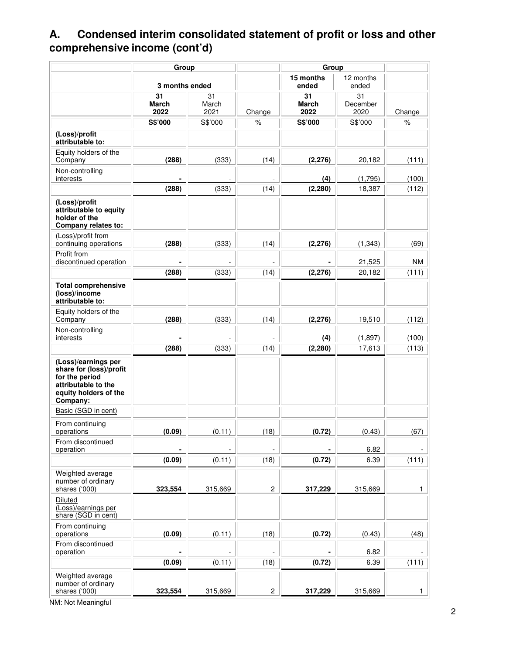# **A. Condensed interim consolidated statement of profit or loss and other comprehensive income (cont'd)**

|                                                                                                                              | Group               |                     |                | Group                      |                        |              |
|------------------------------------------------------------------------------------------------------------------------------|---------------------|---------------------|----------------|----------------------------|------------------------|--------------|
|                                                                                                                              | 3 months ended      |                     |                | 15 months<br>ended         | 12 months<br>ended     |              |
|                                                                                                                              | 31<br>March<br>2022 | 31<br>March<br>2021 | Change         | 31<br><b>March</b><br>2022 | 31<br>December<br>2020 | Change       |
|                                                                                                                              | S\$'000             | S\$'000             | $\%$           | S\$'000                    | S\$'000                | $\%$         |
| (Loss)/profit<br>attributable to:                                                                                            |                     |                     |                |                            |                        |              |
| Equity holders of the<br>Company                                                                                             | (288)               | (333)               | (14)           | (2, 276)                   | 20,182                 | (111)        |
| Non-controlling<br>interests                                                                                                 |                     |                     |                | (4)                        | (1,795)                | (100)        |
|                                                                                                                              | (288)               | (333)               | (14)           | (2, 280)                   | 18,387                 | (112)        |
| (Loss)/profit<br>attributable to equity<br>holder of the<br>Company relates to:                                              |                     |                     |                |                            |                        |              |
| (Loss)/profit from<br>continuing operations                                                                                  | (288)               | (333)               | (14)           | (2, 276)                   | (1, 343)               | (69)         |
| Profit from<br>discontinued operation                                                                                        |                     |                     |                |                            | 21,525                 | <b>NM</b>    |
|                                                                                                                              | (288)               | (333)               | (14)           | (2, 276)                   | 20,182                 | (111)        |
| <b>Total comprehensive</b><br>(loss)/income<br>attributable to:                                                              |                     |                     |                |                            |                        |              |
| Equity holders of the<br>Company                                                                                             | (288)               | (333)               | (14)           | (2, 276)                   | 19,510                 | (112)        |
| Non-controlling<br>interests                                                                                                 |                     |                     |                | (4)                        | (1, 897)               | (100)        |
|                                                                                                                              | (288)               | (333)               | (14)           | (2, 280)                   | 17,613                 | (113)        |
| (Loss)/earnings per<br>share for (loss)/profit<br>for the period<br>attributable to the<br>equity holders of the<br>Company: |                     |                     |                |                            |                        |              |
| Basic (SGD in cent)                                                                                                          |                     |                     |                |                            |                        |              |
| From continuing<br>operations                                                                                                | (0.09)              | (0.11)              | (18)           | (0.72)                     | (0.43)                 | (67)         |
| From discontinued<br>operation                                                                                               |                     |                     |                |                            | 6.82                   |              |
|                                                                                                                              | (0.09)              | (0.11)              | (18)           | (0.72)                     | 6.39                   | (111)        |
| Weighted average<br>number of ordinary<br>shares ('000)                                                                      | 323,554             | 315,669             | $\overline{c}$ | 317,229                    | 315,669                | 1            |
| <b>Diluted</b><br>$\overline{(Loss)/}$ earnings per<br>share (SGD in cent)                                                   |                     |                     |                |                            |                        |              |
| From continuing<br>operations                                                                                                | (0.09)              | (0.11)              | (18)           | (0.72)                     | (0.43)                 | (48)         |
| From discontinued<br>operation                                                                                               |                     |                     |                |                            | 6.82                   |              |
|                                                                                                                              | (0.09)              | (0.11)              | (18)           | (0.72)                     | 6.39                   | (111)        |
| Weighted average<br>number of ordinary<br>shares ('000)                                                                      | 323,554             | 315,669             | $\overline{c}$ | 317,229                    | 315,669                | $\mathbf{1}$ |

NM: Not Meaningful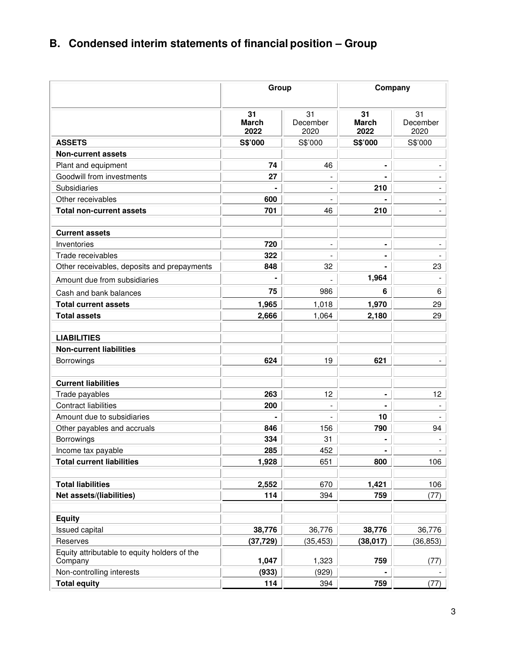# **B. Condensed interim statements of financial position – Group**

|                                                         | Group                      |                        | Company                    |                          |
|---------------------------------------------------------|----------------------------|------------------------|----------------------------|--------------------------|
|                                                         | 31<br><b>March</b><br>2022 | 31<br>December<br>2020 | 31<br><b>March</b><br>2022 | 31<br>December<br>2020   |
| <b>ASSETS</b>                                           | S\$'000                    | S\$'000                | S\$'000                    | S\$'000                  |
| <b>Non-current assets</b>                               |                            |                        |                            |                          |
| Plant and equipment                                     | 74                         | 46                     |                            |                          |
| Goodwill from investments                               | 27                         |                        |                            |                          |
| Subsidiaries                                            |                            | $\blacksquare$         | 210                        | Ξ.                       |
| Other receivables                                       | 600                        |                        |                            |                          |
| <b>Total non-current assets</b>                         | 701                        | 46                     | 210                        | $\blacksquare$           |
| <b>Current assets</b>                                   |                            |                        |                            |                          |
| Inventories                                             | 720                        | ۰                      | ۰                          |                          |
| Trade receivables                                       | 322                        | $\blacksquare$         |                            |                          |
| Other receivables, deposits and prepayments             | 848                        | 32                     |                            | 23                       |
| Amount due from subsidiaries                            |                            |                        | 1,964                      | $\overline{\phantom{a}}$ |
| Cash and bank balances                                  | 75                         | 986                    | 6                          | 6                        |
| <b>Total current assets</b>                             | 1,965                      | 1,018                  | 1,970                      | 29                       |
| <b>Total assets</b>                                     | 2,666                      | 1,064                  | 2,180                      | 29                       |
| <b>LIABILITIES</b>                                      |                            |                        |                            |                          |
| <b>Non-current liabilities</b>                          |                            |                        |                            |                          |
| Borrowings                                              | 624                        | 19                     | 621                        |                          |
| <b>Current liabilities</b>                              |                            |                        |                            |                          |
| Trade payables                                          | 263                        | 12                     |                            | 12                       |
| <b>Contract liabilities</b>                             | 200                        |                        |                            |                          |
| Amount due to subsidiaries                              |                            |                        | 10                         | $\blacksquare$           |
| Other payables and accruals                             | 846                        | 156                    | 790                        | 94                       |
| Borrowings                                              | 334                        | 31                     |                            |                          |
| Income tax payable                                      | 285                        | 452                    |                            |                          |
| <b>Total current liabilities</b>                        | 1,928                      | 651                    | 800                        | 106                      |
| <b>Total liabilities</b>                                | 2,552                      | 670                    | 1,421                      | 106                      |
| Net assets/(liabilities)                                | 114                        | 394                    | 759                        | (77)                     |
| <b>Equity</b>                                           |                            |                        |                            |                          |
| Issued capital                                          | 38,776                     | 36,776                 | 38,776                     | 36,776                   |
| Reserves                                                | (37, 729)                  | (35, 453)              | (38, 017)                  | (36, 853)                |
| Equity attributable to equity holders of the<br>Company | 1,047                      | 1,323                  | 759                        | (77)                     |
| Non-controlling interests                               | (933)                      | (929)                  |                            | $\blacksquare$           |
| <b>Total equity</b>                                     | 114                        | 394                    | 759                        | (77)                     |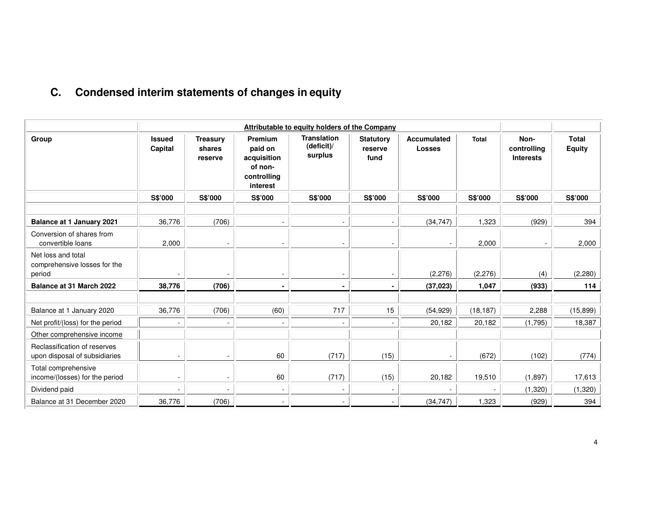# **C. Condensed interim statements of changes in equity**

|                                                               | <b>Attributable to equity holders of the Company</b> |                                      |                                                                         |                                             |                                     |                                     |              |                                         |                               |
|---------------------------------------------------------------|------------------------------------------------------|--------------------------------------|-------------------------------------------------------------------------|---------------------------------------------|-------------------------------------|-------------------------------------|--------------|-----------------------------------------|-------------------------------|
| Group                                                         | <b>Issued</b><br>Capital                             | <b>Treasury</b><br>shares<br>reserve | Premium<br>paid on<br>acquisition<br>of non-<br>controlling<br>interest | <b>Translation</b><br>(deficit)/<br>surplus | <b>Statutory</b><br>reserve<br>fund | <b>Accumulated</b><br><b>Losses</b> | <b>Total</b> | Non-<br>controlling<br><b>Interests</b> | <b>Total</b><br><b>Equity</b> |
|                                                               | S\$'000                                              | S\$'000                              | S\$'000                                                                 | S\$'000                                     | S\$'000                             | S\$'000                             | S\$'000      | S\$'000                                 | S\$'000                       |
|                                                               |                                                      |                                      |                                                                         |                                             |                                     |                                     |              |                                         |                               |
| <b>Balance at 1 January 2021</b>                              | 36,776                                               | (706)                                |                                                                         | $\overline{\phantom{a}}$                    |                                     | (34, 747)                           | 1,323        | (929)                                   | 394                           |
| Conversion of shares from<br>convertible loans                | 2,000                                                |                                      |                                                                         |                                             |                                     |                                     | 2,000        |                                         | 2,000                         |
| Net loss and total<br>comprehensive losses for the<br>period  |                                                      |                                      |                                                                         |                                             |                                     | (2,276)                             | (2,276)      | (4)                                     | (2, 280)                      |
| Balance at 31 March 2022                                      | 38,776                                               | (706)                                |                                                                         | $\blacksquare$                              |                                     | (37, 023)                           | 1,047        | (933)                                   | 114                           |
|                                                               |                                                      |                                      |                                                                         |                                             |                                     |                                     |              |                                         |                               |
| Balance at 1 January 2020                                     | 36,776                                               | (706)                                | (60)                                                                    | 717                                         | 15                                  | (54, 929)                           | (18, 187)    | 2,288                                   | (15, 899)                     |
| Net profit/(loss) for the period                              | $\blacksquare$                                       |                                      |                                                                         |                                             |                                     | 20,182                              | 20,182       | (1,795)                                 | 18,387                        |
| Other comprehensive income                                    |                                                      |                                      |                                                                         |                                             |                                     |                                     |              |                                         |                               |
| Reclassification of reserves<br>upon disposal of subsidiaries | $\overline{\phantom{a}}$                             | $\blacksquare$                       | 60                                                                      | (717)                                       | (15)                                |                                     | (672)        | (102)                                   | (774)                         |
| Total comprehensive<br>income/(losses) for the period         | $\overline{\phantom{a}}$                             | $\blacksquare$                       | 60                                                                      | (717)                                       | (15)                                | 20,182                              | 19,510       | (1, 897)                                | 17,613                        |
| Dividend paid                                                 | $\overline{a}$                                       |                                      |                                                                         | ٠                                           |                                     |                                     |              | (1,320)                                 | (1,320)                       |
| Balance at 31 December 2020                                   | 36,776                                               | (706)                                |                                                                         |                                             |                                     | (34, 747)                           | 1,323        | (929)                                   | 394                           |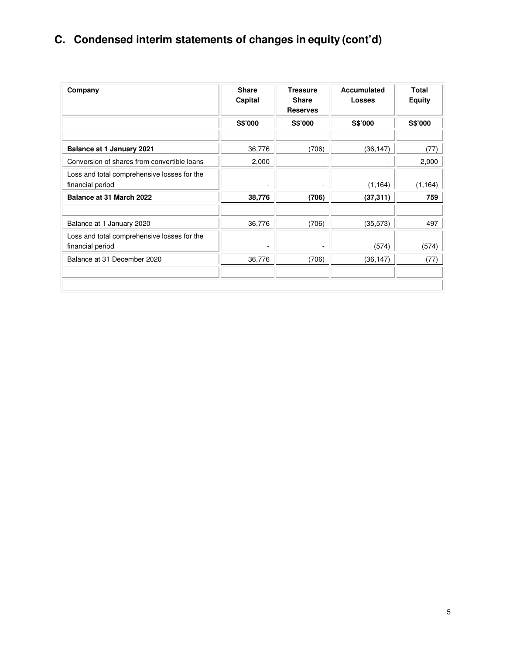# **C. Condensed interim statements of changes in equity (cont'd)**

| Company                                                         | <b>Share</b><br>Capital | <b>Treasure</b><br><b>Share</b><br><b>Reserves</b> | <b>Accumulated</b><br><b>Losses</b> | <b>Total</b><br><b>Equity</b> |
|-----------------------------------------------------------------|-------------------------|----------------------------------------------------|-------------------------------------|-------------------------------|
|                                                                 | S\$'000                 | <b>S\$'000</b>                                     | S\$'000                             | S\$'000                       |
|                                                                 |                         |                                                    |                                     |                               |
| <b>Balance at 1 January 2021</b>                                | 36,776                  | (706)                                              | (36, 147)                           | (77)                          |
| Conversion of shares from convertible loans                     | 2,000                   | $\overline{a}$                                     | $\overline{\phantom{0}}$            | 2,000                         |
| Loss and total comprehensive losses for the<br>financial period |                         |                                                    | (1, 164)                            | (1, 164)                      |
| Balance at 31 March 2022                                        | 38,776                  | (706)                                              | (37, 311)                           | 759                           |
|                                                                 |                         |                                                    |                                     |                               |
| Balance at 1 January 2020                                       | 36,776                  | (706)                                              | (35, 573)                           | 497                           |
| Loss and total comprehensive losses for the<br>financial period | -                       |                                                    | (574)                               | (574)                         |
| Balance at 31 December 2020                                     | 36,776                  | (706)                                              | (36, 147)                           | (77)                          |
|                                                                 |                         |                                                    |                                     |                               |
|                                                                 |                         |                                                    |                                     |                               |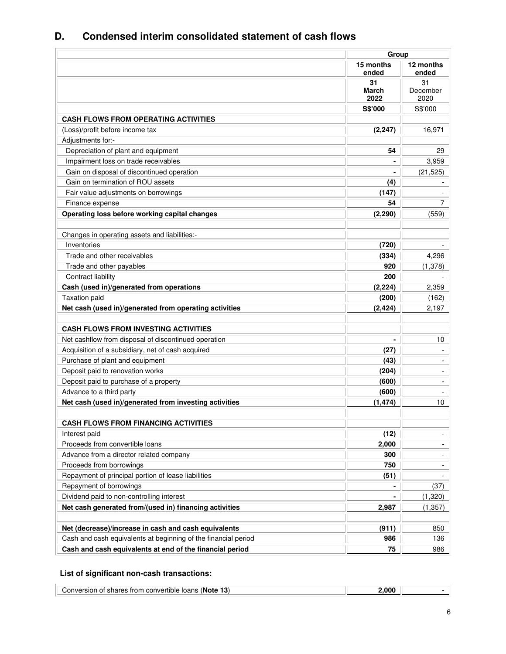|                                                                | Group               |                          |
|----------------------------------------------------------------|---------------------|--------------------------|
|                                                                | 15 months<br>ended  | 12 months<br>ended       |
|                                                                | 31<br>March<br>2022 | 31<br>December<br>2020   |
|                                                                | S\$'000             | S\$'000                  |
| <b>CASH FLOWS FROM OPERATING ACTIVITIES</b>                    |                     |                          |
| (Loss)/profit before income tax                                | (2, 247)            | 16,971                   |
| Adjustments for:-                                              |                     |                          |
| Depreciation of plant and equipment                            | 54                  | 29                       |
| Impairment loss on trade receivables                           |                     | 3,959                    |
| Gain on disposal of discontinued operation                     | $\blacksquare$      | (21, 525)                |
| Gain on termination of ROU assets                              | (4)                 |                          |
| Fair value adjustments on borrowings                           | (147)               |                          |
| Finance expense                                                | 54                  | $\overline{7}$           |
| Operating loss before working capital changes                  | (2, 290)            | (559)                    |
| Changes in operating assets and liabilities:-                  |                     |                          |
| Inventories                                                    | (720)               |                          |
| Trade and other receivables                                    | (334)               | 4,296                    |
| Trade and other payables                                       | 920                 | (1,378)                  |
| Contract liability                                             | 200                 |                          |
| Cash (used in)/generated from operations                       | (2, 224)            | 2,359                    |
| <b>Taxation paid</b>                                           | (200)               | (162)                    |
| Net cash (used in)/generated from operating activities         | (2, 424)            | 2,197                    |
| <b>CASH FLOWS FROM INVESTING ACTIVITIES</b>                    |                     |                          |
| Net cashflow from disposal of discontinued operation           |                     | 10 <sub>1</sub>          |
| Acquisition of a subsidiary, net of cash acquired              | (27)                | $\overline{\phantom{a}}$ |
| Purchase of plant and equipment                                | (43)                | $\overline{\phantom{a}}$ |
| Deposit paid to renovation works                               | (204)               | $\blacksquare$           |
| Deposit paid to purchase of a property                         | (600)               | $\overline{\phantom{a}}$ |
| Advance to a third party                                       | (600)               |                          |
| Net cash (used in)/generated from investing activities         | (1, 474)            | 10 <sup>1</sup>          |
| <b>CASH FLOWS FROM FINANCING ACTIVITIES</b>                    |                     |                          |
| Interest paid                                                  | (12)                |                          |
| Proceeds from convertible loans                                | 2,000               | $\blacksquare$           |
| Advance from a director related company                        | 300                 | $\overline{\phantom{a}}$ |
| Proceeds from borrowings                                       | 750                 | $\blacksquare$           |
| Repayment of principal portion of lease liabilities            | (51)                | $\overline{\phantom{a}}$ |
| Repayment of borrowings                                        |                     | (37)                     |
| Dividend paid to non-controlling interest                      |                     | (1,320)                  |
| Net cash generated from/(used in) financing activities         | 2,987               | (1, 357)                 |
| Net (decrease)/increase in cash and cash equivalents           | (911)               | 850                      |
| Cash and cash equivalents at beginning of the financial period | 986                 | 136                      |
| Cash and cash equivalents at end of the financial period       | 75                  | 986                      |

# **D. Condensed interim consolidated statement of cash flows**

# **List of significant non-cash transactions:**

| Conversion of shares from convertible loans (Note 13) | ,000 |  |
|-------------------------------------------------------|------|--|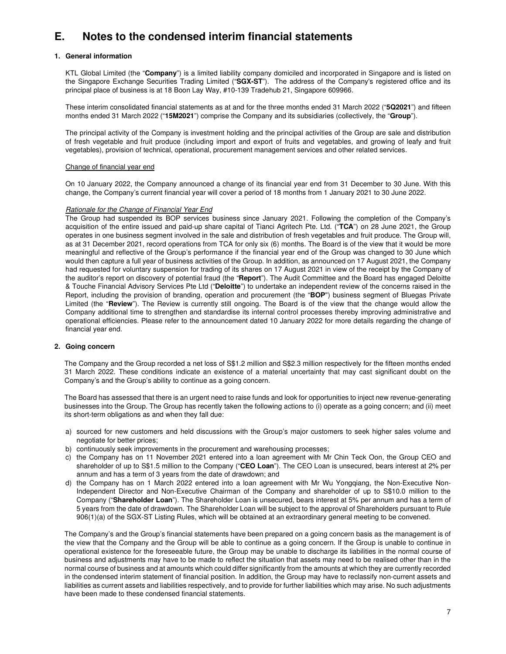# **E. Notes to the condensed interim financial statements**

# **1. General information**

KTL Global Limited (the "**Company**") is a limited liability company domiciled and incorporated in Singapore and is listed on the Singapore Exchange Securities Trading Limited ("**SGX-ST**"). The address of the Company's registered office and its principal place of business is at 18 Boon Lay Way, #10-139 Tradehub 21, Singapore 609966.

These interim consolidated financial statements as at and for the three months ended 31 March 2022 ("**5Q2021**") and fifteen months ended 31 March 2022 ("**15M2021**") comprise the Company and its subsidiaries (collectively, the "**Group**").

The principal activity of the Company is investment holding and the principal activities of the Group are sale and distribution of fresh vegetable and fruit produce (including import and export of fruits and vegetables, and growing of leafy and fruit vegetables), provision of technical, operational, procurement management services and other related services.

#### Change of financial year end

On 10 January 2022, the Company announced a change of its financial year end from 31 December to 30 June. With this change, the Company's current financial year will cover a period of 18 months from 1 January 2021 to 30 June 2022.

### Rationale for the Change of Financial Year End

The Group had suspended its BOP services business since January 2021. Following the completion of the Company's acquisition of the entire issued and paid-up share capital of Tianci Agritech Pte. Ltd. ("**TCA**") on 28 June 2021, the Group operates in one business segment involved in the sale and distribution of fresh vegetables and fruit produce. The Group will, as at 31 December 2021, record operations from TCA for only six (6) months. The Board is of the view that it would be more meaningful and reflective of the Group's performance if the financial year end of the Group was changed to 30 June which would then capture a full year of business activities of the Group. In addition, as announced on 17 August 2021, the Company had requested for voluntary suspension for trading of its shares on 17 August 2021 in view of the receipt by the Company of the auditor's report on discovery of potential fraud (the "**Report**"). The Audit Committee and the Board has engaged Deloitte & Touche Financial Advisory Services Pte Ltd ("**Deloitte**") to undertake an independent review of the concerns raised in the Report, including the provision of branding, operation and procurement (the "**BOP**") business segment of Bluegas Private Limited (the "**Review**"). The Review is currently still ongoing. The Board is of the view that the change would allow the Company additional time to strengthen and standardise its internal control processes thereby improving administrative and operational efficiencies. Please refer to the announcement dated 10 January 2022 for more details regarding the change of financial year end.

#### **2. Going concern**

The Company and the Group recorded a net loss of S\$1.2 million and S\$2.3 million respectively for the fifteen months ended 31 March 2022. These conditions indicate an existence of a material uncertainty that may cast significant doubt on the Company's and the Group's ability to continue as a going concern.

The Board has assessed that there is an urgent need to raise funds and look for opportunities to inject new revenue-generating businesses into the Group. The Group has recently taken the following actions to (i) operate as a going concern; and (ii) meet its short-term obligations as and when they fall due:

- a) sourced for new customers and held discussions with the Group's major customers to seek higher sales volume and negotiate for better prices;
- b) continuously seek improvements in the procurement and warehousing processes;
- c) the Company has on 11 November 2021 entered into a loan agreement with Mr Chin Teck Oon, the Group CEO and shareholder of up to S\$1.5 million to the Company ("**CEO Loan**"). The CEO Loan is unsecured, bears interest at 2% per annum and has a term of 3 years from the date of drawdown; and
- d) the Company has on 1 March 2022 entered into a loan agreement with Mr Wu Yongqiang, the Non-Executive Non-Independent Director and Non-Executive Chairman of the Company and shareholder of up to S\$10.0 million to the Company ("**Shareholder Loan**"). The Shareholder Loan is unsecured, bears interest at 5% per annum and has a term of 5 years from the date of drawdown. The Shareholder Loan will be subject to the approval of Shareholders pursuant to Rule 906(1)(a) of the SGX-ST Listing Rules, which will be obtained at an extraordinary general meeting to be convened.

The Company's and the Group's financial statements have been prepared on a going concern basis as the management is of the view that the Company and the Group will be able to continue as a going concern. If the Group is unable to continue in operational existence for the foreseeable future, the Group may be unable to discharge its liabilities in the normal course of business and adjustments may have to be made to reflect the situation that assets may need to be realised other than in the normal course of business and at amounts which could differ significantly from the amounts at which they are currently recorded in the condensed interim statement of financial position. In addition, the Group may have to reclassify non-current assets and liabilities as current assets and liabilities respectively, and to provide for further liabilities which may arise. No such adjustments have been made to these condensed financial statements.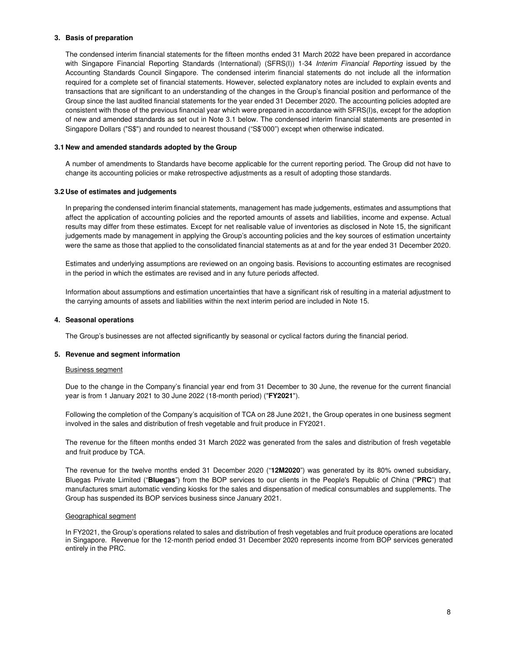#### **3. Basis of preparation**

The condensed interim financial statements for the fifteen months ended 31 March 2022 have been prepared in accordance with Singapore Financial Reporting Standards (International) (SFRS(I)) 1-34 Interim Financial Reporting issued by the Accounting Standards Council Singapore. The condensed interim financial statements do not include all the information required for a complete set of financial statements. However, selected explanatory notes are included to explain events and transactions that are significant to an understanding of the changes in the Group's financial position and performance of the Group since the last audited financial statements for the year ended 31 December 2020. The accounting policies adopted are consistent with those of the previous financial year which were prepared in accordance with SFRS(I)s, except for the adoption of new and amended standards as set out in Note 3.1 below. The condensed interim financial statements are presented in Singapore Dollars ("S\$") and rounded to nearest thousand ("S\$'000") except when otherwise indicated.

#### **3.1 New and amended standards adopted by the Group**

A number of amendments to Standards have become applicable for the current reporting period. The Group did not have to change its accounting policies or make retrospective adjustments as a result of adopting those standards.

#### **3.2 Use of estimates and judgements**

In preparing the condensed interim financial statements, management has made judgements, estimates and assumptions that affect the application of accounting policies and the reported amounts of assets and liabilities, income and expense. Actual results may differ from these estimates. Except for net realisable value of inventories as disclosed in Note 15, the significant judgements made by management in applying the Group's accounting policies and the key sources of estimation uncertainty were the same as those that applied to the consolidated financial statements as at and for the year ended 31 December 2020.

Estimates and underlying assumptions are reviewed on an ongoing basis. Revisions to accounting estimates are recognised in the period in which the estimates are revised and in any future periods affected.

Information about assumptions and estimation uncertainties that have a significant risk of resulting in a material adjustment to the carrying amounts of assets and liabilities within the next interim period are included in Note 15.

#### **4. Seasonal operations**

The Group's businesses are not affected significantly by seasonal or cyclical factors during the financial period.

#### **5. Revenue and segment information**

#### Business segment

Due to the change in the Company's financial year end from 31 December to 30 June, the revenue for the current financial year is from 1 January 2021 to 30 June 2022 (18-month period) ("**FY2021**").

Following the completion of the Company's acquisition of TCA on 28 June 2021, the Group operates in one business segment involved in the sales and distribution of fresh vegetable and fruit produce in FY2021.

The revenue for the fifteen months ended 31 March 2022 was generated from the sales and distribution of fresh vegetable and fruit produce by TCA.

The revenue for the twelve months ended 31 December 2020 ("**12M2020**") was generated by its 80% owned subsidiary, Bluegas Private Limited ("**Bluegas**") from the BOP services to our clients in the People's Republic of China ("**PRC**") that manufactures smart automatic vending kiosks for the sales and dispensation of medical consumables and supplements. The Group has suspended its BOP services business since January 2021.

#### Geographical segment

In FY2021, the Group's operations related to sales and distribution of fresh vegetables and fruit produce operations are located in Singapore. Revenue for the 12-month period ended 31 December 2020 represents income from BOP services generated entirely in the PRC.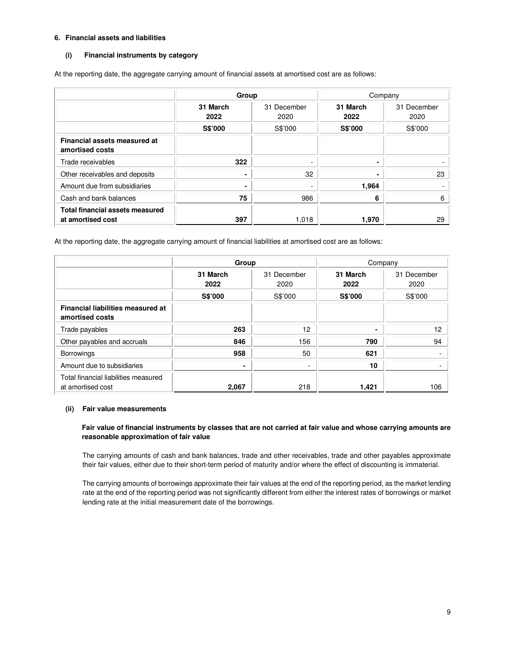# **6. Financial assets and liabilities**

# **(i) Financial instruments by category**

At the reporting date, the aggregate carrying amount of financial assets at amortised cost are as follows:

|                                                             | Group            |                     | Company          |                     |
|-------------------------------------------------------------|------------------|---------------------|------------------|---------------------|
|                                                             | 31 March<br>2022 | 31 December<br>2020 | 31 March<br>2022 | 31 December<br>2020 |
|                                                             | <b>S\$'000</b>   | S\$'000             | S\$'000          | S\$'000             |
| Financial assets measured at<br>amortised costs             |                  |                     |                  |                     |
| Trade receivables                                           | 322              | -                   | ۰                |                     |
| Other receivables and deposits                              | ۰                | 32                  | ۰                | 23                  |
| Amount due from subsidiaries                                | ۰                |                     | 1,964            |                     |
| Cash and bank balances                                      | 75               | 986                 | 6                | 6                   |
| <b>Total financial assets measured</b><br>at amortised cost | 397              | 1,018               | 1,970            | 29                  |

At the reporting date, the aggregate carrying amount of financial liabilities at amortised cost are as follows:

|                                                             | Group            |                          | Company          |                     |  |
|-------------------------------------------------------------|------------------|--------------------------|------------------|---------------------|--|
|                                                             | 31 March<br>2022 | 31 December<br>2020      | 31 March<br>2022 | 31 December<br>2020 |  |
|                                                             | S\$'000          | S\$'000                  | S\$'000          | S\$'000             |  |
| <b>Financial liabilities measured at</b><br>amortised costs |                  |                          |                  |                     |  |
| Trade payables                                              | 263              | 12                       | ٠                | 12                  |  |
| Other payables and accruals                                 | 846              | 156                      | 790              | 94                  |  |
| <b>Borrowings</b>                                           | 958              | 50                       | 621              |                     |  |
| Amount due to subsidiaries                                  | ۰                | $\overline{\phantom{a}}$ | 10               |                     |  |
| Total financial liabilities measured<br>at amortised cost   | 2,067            | 218                      | 1,421            | 106                 |  |

## **(ii) Fair value measurements**

### **Fair value of financial instruments by classes that are not carried at fair value and whose carrying amounts are reasonable approximation of fair value**

The carrying amounts of cash and bank balances, trade and other receivables, trade and other payables approximate their fair values, either due to their short-term period of maturity and/or where the effect of discounting is immaterial.

The carrying amounts of borrowings approximate their fair values at the end of the reporting period, as the market lending rate at the end of the reporting period was not significantly different from either the interest rates of borrowings or market lending rate at the initial measurement date of the borrowings.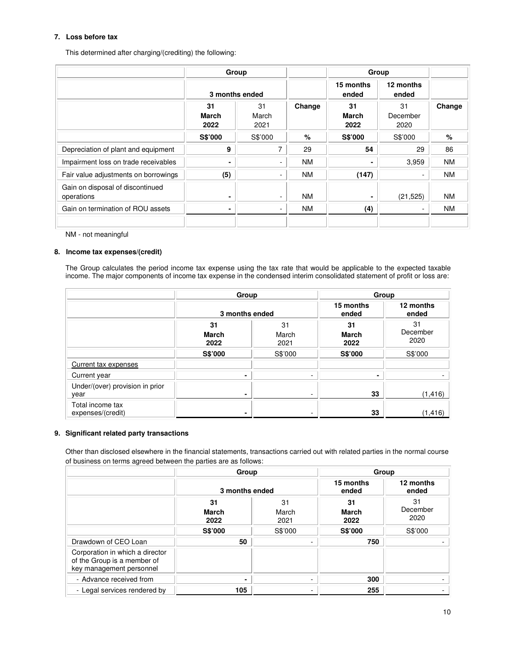# **7. Loss before tax**

This determined after charging/(crediting) the following:

|                                                |                     | Group                    |           |                     | Group                    |           |
|------------------------------------------------|---------------------|--------------------------|-----------|---------------------|--------------------------|-----------|
|                                                |                     | 3 months ended           |           | 15 months<br>ended  | 12 months<br>ended       |           |
|                                                | 31<br>March<br>2022 | 31<br>March<br>2021      | Change    | 31<br>March<br>2022 | 31<br>December<br>2020   | Change    |
|                                                | S\$'000             | S\$'000                  | $\%$      | S\$'000             | S\$'000                  | $\%$      |
| Depreciation of plant and equipment            | 9                   | 7                        | 29        | 54                  | 29                       | 86        |
| Impairment loss on trade receivables           | ٠                   | ٠                        | <b>NM</b> | ۰                   | 3,959                    | <b>NM</b> |
| Fair value adjustments on borrowings           | (5)                 | $\overline{\phantom{a}}$ | NM.       | (147)               | $\overline{\phantom{a}}$ | <b>NM</b> |
| Gain on disposal of discontinued<br>operations | ۰                   | $\overline{\phantom{a}}$ | <b>NM</b> |                     | (21, 525)                | <b>NM</b> |
| Gain on termination of ROU assets              | ۰                   | ٠                        | <b>NM</b> | (4)                 | $\overline{\phantom{a}}$ | <b>NM</b> |
|                                                |                     |                          |           |                     |                          |           |

NM - not meaningful

# **8. Income tax expenses/(credit)**

The Group calculates the period income tax expense using the tax rate that would be applicable to the expected taxable income. The major components of income tax expense in the condensed interim consolidated statement of profit or loss are:

|                                         | Group               |                     | Group                      |                        |  |
|-----------------------------------------|---------------------|---------------------|----------------------------|------------------------|--|
|                                         | 3 months ended      |                     | 15 months<br>ended         | 12 months<br>ended     |  |
|                                         | 31<br>March<br>2022 | 31<br>March<br>2021 | 31<br><b>March</b><br>2022 | 31<br>December<br>2020 |  |
|                                         | S\$'000             | S\$'000             | S\$'000                    | S\$'000                |  |
| Current tax expenses                    |                     |                     |                            |                        |  |
| Current year                            | ٠                   | -                   | ۰                          |                        |  |
| Under/(over) provision in prior<br>year | ٠                   | -                   | 33                         | (1, 416)               |  |
| Total income tax<br>expenses/(credit)   |                     | -                   | 33                         | $(1, 416)$ $ $         |  |

# **9. Significant related party transactions**

Other than disclosed elsewhere in the financial statements, transactions carried out with related parties in the normal course of business on terms agreed between the parties are as follows:

|                                                                                            | Group               |                     | Group               |                        |
|--------------------------------------------------------------------------------------------|---------------------|---------------------|---------------------|------------------------|
|                                                                                            | 3 months ended      |                     | 15 months<br>ended  | 12 months<br>ended     |
|                                                                                            | 31<br>March<br>2022 | 31<br>March<br>2021 | 31<br>March<br>2022 | 31<br>December<br>2020 |
|                                                                                            | <b>S\$'000</b>      | S\$'000             | <b>S\$'000</b>      | S\$'000                |
| Drawdown of CEO Loan                                                                       | 50                  |                     | 750                 |                        |
| Corporation in which a director<br>of the Group is a member of<br>key management personnel |                     |                     |                     |                        |
| - Advance received from                                                                    | ۰                   |                     | 300                 |                        |
| - Legal services rendered by                                                               | 105                 |                     | 255                 |                        |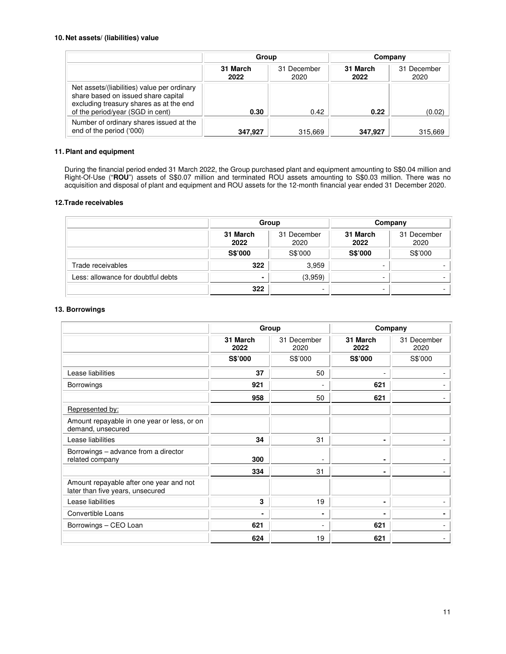# **10. Net assets/ (liabilities) value**

|                                                                                                                                                                   | Group            |                     | Company          |                     |
|-------------------------------------------------------------------------------------------------------------------------------------------------------------------|------------------|---------------------|------------------|---------------------|
|                                                                                                                                                                   | 31 March<br>2022 | 31 December<br>2020 | 31 March<br>2022 | 31 December<br>2020 |
| Net assets/(liabilities) value per ordinary<br>share based on issued share capital<br>excluding treasury shares as at the end<br>of the period/year (SGD in cent) | 0.30             | 0.42                | 0.22             | (0.02)              |
| Number of ordinary shares issued at the<br>end of the period ('000)                                                                                               | 347,927          | 315,669             | 347,927          | 315,669             |

## **11. Plant and equipment**

During the financial period ended 31 March 2022, the Group purchased plant and equipment amounting to S\$0.04 million and Right-Of-Use ("**ROU**") assets of S\$0.07 million and terminated ROU assets amounting to S\$0.03 million. There was no acquisition and disposal of plant and equipment and ROU assets for the 12-month financial year ended 31 December 2020.

### **12.Trade receivables**

|                                    | Group            |                     | Company                  |                     |
|------------------------------------|------------------|---------------------|--------------------------|---------------------|
|                                    | 31 March<br>2022 | 31 December<br>2020 | 31 March<br>2022         | 31 December<br>2020 |
|                                    | <b>S\$'000</b>   | S\$'000             | S\$'000                  | S\$'000             |
| Trade receivables                  | 322              | 3,959               |                          |                     |
| Less: allowance for doubtful debts | ۰                | (3,959)             | $\overline{\phantom{0}}$ |                     |
|                                    | 322              | -                   | -                        |                     |

# **13. Borrowings**

|                                                                             | Group            |                          | Company                  |                     |
|-----------------------------------------------------------------------------|------------------|--------------------------|--------------------------|---------------------|
|                                                                             | 31 March<br>2022 | 31 December<br>2020      | 31 March<br>2022         | 31 December<br>2020 |
|                                                                             | S\$'000          | S\$'000                  | S\$'000                  | S\$'000             |
| Lease liabilities                                                           | 37               | 50                       | $\overline{\phantom{a}}$ |                     |
| Borrowings                                                                  | 921              | $\blacksquare$           | 621                      |                     |
|                                                                             | 958              | 50                       | 621                      |                     |
| Represented by:                                                             |                  |                          |                          |                     |
| Amount repayable in one year or less, or on<br>demand, unsecured            |                  |                          |                          |                     |
| Lease liabilities                                                           | 34               | 31                       | ۰                        |                     |
| Borrowings - advance from a director<br>related company                     | 300              | $\overline{\phantom{a}}$ | ٠                        |                     |
|                                                                             | 334              | 31                       | -                        |                     |
| Amount repayable after one year and not<br>later than five years, unsecured |                  |                          |                          |                     |
| Lease liabilities                                                           | 3                | 19                       | ۰                        |                     |
| Convertible Loans                                                           | ۰                | ۰                        | ۰                        |                     |
| Borrowings - CEO Loan                                                       | 621              | $\blacksquare$           | 621                      |                     |
|                                                                             | 624              | 19                       | 621                      |                     |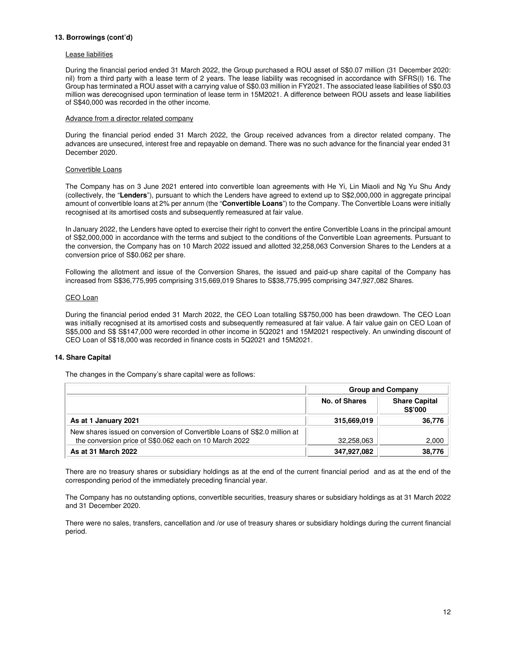### **13. Borrowings (cont'd)**

#### Lease liabilities

During the financial period ended 31 March 2022, the Group purchased a ROU asset of S\$0.07 million (31 December 2020: nil) from a third party with a lease term of 2 years. The lease liability was recognised in accordance with SFRS(I) 16. The Group has terminated a ROU asset with a carrying value of S\$0.03 million in FY2021. The associated lease liabilities of S\$0.03 million was derecognised upon termination of lease term in 15M2021. A difference between ROU assets and lease liabilities of S\$40,000 was recorded in the other income.

### Advance from a director related company

During the financial period ended 31 March 2022, the Group received advances from a director related company. The advances are unsecured, interest free and repayable on demand. There was no such advance for the financial year ended 31 December 2020.

#### Convertible Loans

The Company has on 3 June 2021 entered into convertible loan agreements with He Yi, Lin Miaoli and Ng Yu Shu Andy (collectively, the "**Lenders**"), pursuant to which the Lenders have agreed to extend up to S\$2,000,000 in aggregate principal amount of convertible loans at 2% per annum (the "**Convertible Loans**") to the Company. The Convertible Loans were initially recognised at its amortised costs and subsequently remeasured at fair value.

In January 2022, the Lenders have opted to exercise their right to convert the entire Convertible Loans in the principal amount of S\$2,000,000 in accordance with the terms and subject to the conditions of the Convertible Loan agreements. Pursuant to the conversion, the Company has on 10 March 2022 issued and allotted 32,258,063 Conversion Shares to the Lenders at a conversion price of S\$0.062 per share.

Following the allotment and issue of the Conversion Shares, the issued and paid-up share capital of the Company has increased from S\$36,775,995 comprising 315,669,019 Shares to S\$38,775,995 comprising 347,927,082 Shares.

#### CEO Loan

During the financial period ended 31 March 2022, the CEO Loan totalling S\$750,000 has been drawdown. The CEO Loan was initially recognised at its amortised costs and subsequently remeasured at fair value. A fair value gain on CEO Loan of S\$5,000 and S\$ S\$147,000 were recorded in other income in 5Q2021 and 15M2021 respectively. An unwinding discount of CEO Loan of S\$18,000 was recorded in finance costs in 5Q2021 and 15M2021.

#### **14. Share Capital**

The changes in the Company's share capital were as follows:

|                                                                                                                                     | <b>Group and Company</b> |                                        |  |
|-------------------------------------------------------------------------------------------------------------------------------------|--------------------------|----------------------------------------|--|
|                                                                                                                                     | No. of Shares            | <b>Share Capital</b><br><b>S\$'000</b> |  |
| As at 1 January 2021                                                                                                                | 315,669,019              | 36,776                                 |  |
| New shares issued on conversion of Convertible Loans of S\$2.0 million at<br>the conversion price of S\$0.062 each on 10 March 2022 | 32,258,063               | 2,000                                  |  |
| As at 31 March 2022                                                                                                                 | 347,927,082              | 38,776                                 |  |

There are no treasury shares or subsidiary holdings as at the end of the current financial period and as at the end of the corresponding period of the immediately preceding financial year.

The Company has no outstanding options, convertible securities, treasury shares or subsidiary holdings as at 31 March 2022 and 31 December 2020.

There were no sales, transfers, cancellation and /or use of treasury shares or subsidiary holdings during the current financial period.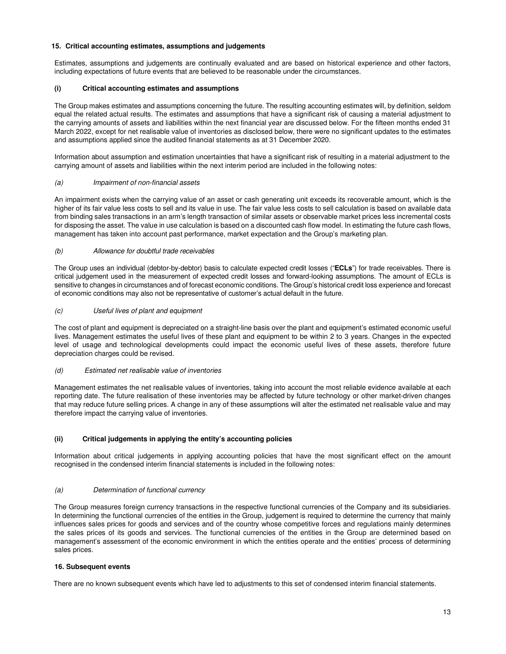### **15. Critical accounting estimates, assumptions and judgements**

Estimates, assumptions and judgements are continually evaluated and are based on historical experience and other factors, including expectations of future events that are believed to be reasonable under the circumstances.

# **(i) Critical accounting estimates and assumptions**

The Group makes estimates and assumptions concerning the future. The resulting accounting estimates will, by definition, seldom equal the related actual results. The estimates and assumptions that have a significant risk of causing a material adjustment to the carrying amounts of assets and liabilities within the next financial year are discussed below. For the fifteen months ended 31 March 2022, except for net realisable value of inventories as disclosed below, there were no significant updates to the estimates and assumptions applied since the audited financial statements as at 31 December 2020.

Information about assumption and estimation uncertainties that have a significant risk of resulting in a material adjustment to the carrying amount of assets and liabilities within the next interim period are included in the following notes:

### (a) Impairment of non-financial assets

An impairment exists when the carrying value of an asset or cash generating unit exceeds its recoverable amount, which is the higher of its fair value less costs to sell and its value in use. The fair value less costs to sell calculation is based on available data from binding sales transactions in an arm's length transaction of similar assets or observable market prices less incremental costs for disposing the asset. The value in use calculation is based on a discounted cash flow model. In estimating the future cash flows, management has taken into account past performance, market expectation and the Group's marketing plan.

### (b) Allowance for doubtful trade receivables

The Group uses an individual (debtor-by-debtor) basis to calculate expected credit losses ("**ECLs**") for trade receivables. There is critical judgement used in the measurement of expected credit losses and forward-looking assumptions. The amount of ECLs is sensitive to changes in circumstances and of forecast economic conditions. The Group's historical credit loss experience and forecast of economic conditions may also not be representative of customer's actual default in the future.

### (c) Useful lives of plant and equipment

The cost of plant and equipment is depreciated on a straight-line basis over the plant and equipment's estimated economic useful lives. Management estimates the useful lives of these plant and equipment to be within 2 to 3 years. Changes in the expected level of usage and technological developments could impact the economic useful lives of these assets, therefore future depreciation charges could be revised.

# (d) Estimated net realisable value of inventories

Management estimates the net realisable values of inventories, taking into account the most reliable evidence available at each reporting date. The future realisation of these inventories may be affected by future technology or other market-driven changes that may reduce future selling prices. A change in any of these assumptions will alter the estimated net realisable value and may therefore impact the carrying value of inventories.

# **(ii) Critical judgements in applying the entity's accounting policies**

Information about critical judgements in applying accounting policies that have the most significant effect on the amount recognised in the condensed interim financial statements is included in the following notes:

# (a) Determination of functional currency

The Group measures foreign currency transactions in the respective functional currencies of the Company and its subsidiaries. In determining the functional currencies of the entities in the Group, judgement is required to determine the currency that mainly influences sales prices for goods and services and of the country whose competitive forces and regulations mainly determines the sales prices of its goods and services. The functional currencies of the entities in the Group are determined based on management's assessment of the economic environment in which the entities operate and the entities' process of determining sales prices.

#### **16. Subsequent events**

There are no known subsequent events which have led to adjustments to this set of condensed interim financial statements.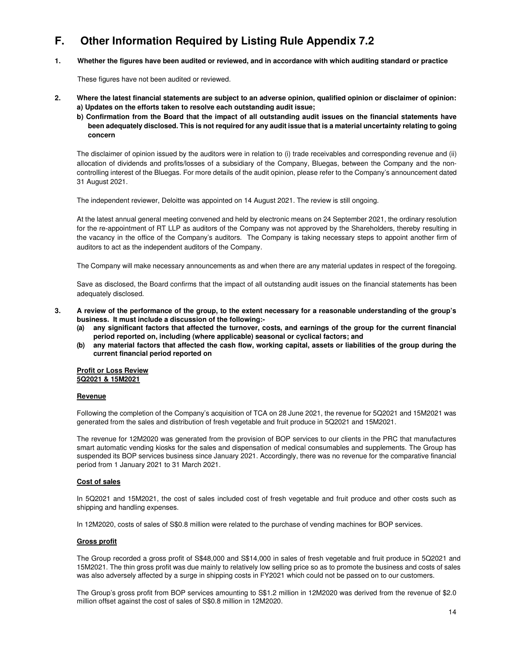# **F. Other Information Required by Listing Rule Appendix 7.2**

**1. Whether the figures have been audited or reviewed, and in accordance with which auditing standard or practice**

These figures have not been audited or reviewed.

- **2. Where the latest financial statements are subject to an adverse opinion, qualified opinion or disclaimer of opinion: a) Updates on the efforts taken to resolve each outstanding audit issue;** 
	- **b) Confirmation from the Board that the impact of all outstanding audit issues on the financial statements have been adequately disclosed. This is not required for any audit issue that is a material uncertainty relating to going concern**

The disclaimer of opinion issued by the auditors were in relation to (i) trade receivables and corresponding revenue and (ii) allocation of dividends and profits/losses of a subsidiary of the Company, Bluegas, between the Company and the noncontrolling interest of the Bluegas. For more details of the audit opinion, please refer to the Company's announcement dated 31 August 2021.

The independent reviewer, Deloitte was appointed on 14 August 2021. The review is still ongoing.

At the latest annual general meeting convened and held by electronic means on 24 September 2021, the ordinary resolution for the re-appointment of RT LLP as auditors of the Company was not approved by the Shareholders, thereby resulting in the vacancy in the office of the Company's auditors. The Company is taking necessary steps to appoint another firm of auditors to act as the independent auditors of the Company.

The Company will make necessary announcements as and when there are any material updates in respect of the foregoing.

Save as disclosed, the Board confirms that the impact of all outstanding audit issues on the financial statements has been adequately disclosed.

- **3. A review of the performance of the group, to the extent necessary for a reasonable understanding of the group's business. It must include a discussion of the following:-** 
	- **(a) any significant factors that affected the turnover, costs, and earnings of the group for the current financial period reported on, including (where applicable) seasonal or cyclical factors; and**
	- **(b) any material factors that affected the cash flow, working capital, assets or liabilities of the group during the current financial period reported on**

#### **Profit or Loss Review 5Q2021 & 15M2021**

#### **Revenue**

Following the completion of the Company's acquisition of TCA on 28 June 2021, the revenue for 5Q2021 and 15M2021 was generated from the sales and distribution of fresh vegetable and fruit produce in 5Q2021 and 15M2021.

The revenue for 12M2020 was generated from the provision of BOP services to our clients in the PRC that manufactures smart automatic vending kiosks for the sales and dispensation of medical consumables and supplements. The Group has suspended its BOP services business since January 2021. Accordingly, there was no revenue for the comparative financial period from 1 January 2021 to 31 March 2021.

#### **Cost of sales**

In 5Q2021 and 15M2021, the cost of sales included cost of fresh vegetable and fruit produce and other costs such as shipping and handling expenses.

In 12M2020, costs of sales of S\$0.8 million were related to the purchase of vending machines for BOP services.

# **Gross profit**

The Group recorded a gross profit of S\$48,000 and S\$14,000 in sales of fresh vegetable and fruit produce in 5Q2021 and 15M2021. The thin gross profit was due mainly to relatively low selling price so as to promote the business and costs of sales was also adversely affected by a surge in shipping costs in FY2021 which could not be passed on to our customers.

The Group's gross profit from BOP services amounting to S\$1.2 million in 12M2020 was derived from the revenue of \$2.0 million offset against the cost of sales of S\$0.8 million in 12M2020.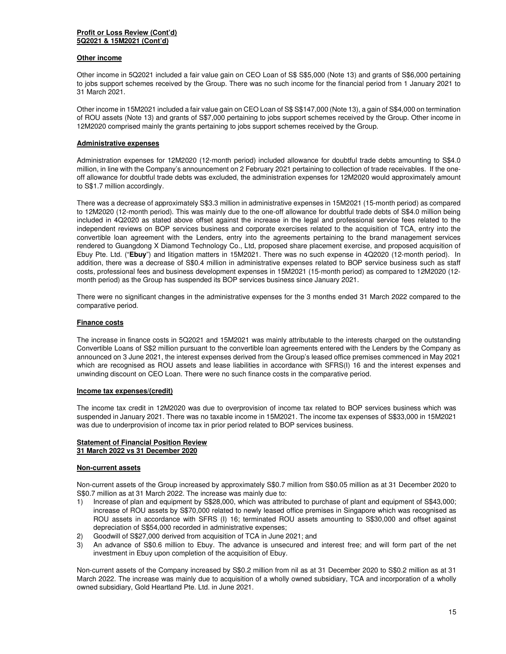#### **Profit or Loss Review (Cont'd) 5Q2021 & 15M2021 (Cont'd)**

### **Other income**

Other income in 5Q2021 included a fair value gain on CEO Loan of S\$ S\$5,000 (Note 13) and grants of S\$6,000 pertaining to jobs support schemes received by the Group. There was no such income for the financial period from 1 January 2021 to 31 March 2021.

Other income in 15M2021 included a fair value gain on CEO Loan of S\$ S\$147,000 (Note 13), a gain of S\$4,000 on termination of ROU assets (Note 13) and grants of S\$7,000 pertaining to jobs support schemes received by the Group. Other income in 12M2020 comprised mainly the grants pertaining to jobs support schemes received by the Group.

## **Administrative expenses**

Administration expenses for 12M2020 (12-month period) included allowance for doubtful trade debts amounting to S\$4.0 million, in line with the Company's announcement on 2 February 2021 pertaining to collection of trade receivables. If the oneoff allowance for doubtful trade debts was excluded, the administration expenses for 12M2020 would approximately amount to S\$1.7 million accordingly.

There was a decrease of approximately S\$3.3 million in administrative expenses in 15M2021 (15-month period) as compared to 12M2020 (12-month period). This was mainly due to the one-off allowance for doubtful trade debts of S\$4.0 million being included in 4Q2020 as stated above offset against the increase in the legal and professional service fees related to the independent reviews on BOP services business and corporate exercises related to the acquisition of TCA, entry into the convertible loan agreement with the Lenders, entry into the agreements pertaining to the brand management services rendered to Guangdong X Diamond Technology Co., Ltd, proposed share placement exercise, and proposed acquisition of Ebuy Pte. Ltd. ("**Ebuy**") and litigation matters in 15M2021. There was no such expense in 4Q2020 (12-month period). In addition, there was a decrease of S\$0.4 million in administrative expenses related to BOP service business such as staff costs, professional fees and business development expenses in 15M2021 (15-month period) as compared to 12M2020 (12 month period) as the Group has suspended its BOP services business since January 2021.

There were no significant changes in the administrative expenses for the 3 months ended 31 March 2022 compared to the comparative period.

# **Finance costs**

The increase in finance costs in 5Q2021 and 15M2021 was mainly attributable to the interests charged on the outstanding Convertible Loans of S\$2 million pursuant to the convertible loan agreements entered with the Lenders by the Company as announced on 3 June 2021, the interest expenses derived from the Group's leased office premises commenced in May 2021 which are recognised as ROU assets and lease liabilities in accordance with SFRS(I) 16 and the interest expenses and unwinding discount on CEO Loan. There were no such finance costs in the comparative period.

#### **Income tax expenses/(credit)**

The income tax credit in 12M2020 was due to overprovision of income tax related to BOP services business which was suspended in January 2021. There was no taxable income in 15M2021. The income tax expenses of S\$33,000 in 15M2021 was due to underprovision of income tax in prior period related to BOP services business.

#### **Statement of Financial Position Review 31 March 2022 vs 31 December 2020**

#### **Non-current assets**

Non-current assets of the Group increased by approximately S\$0.7 million from S\$0.05 million as at 31 December 2020 to S\$0.7 million as at 31 March 2022. The increase was mainly due to:

- 1) Increase of plan and equipment by S\$28,000, which was attributed to purchase of plant and equipment of S\$43,000; increase of ROU assets by S\$70,000 related to newly leased office premises in Singapore which was recognised as ROU assets in accordance with SFRS (I) 16; terminated ROU assets amounting to S\$30,000 and offset against depreciation of S\$54,000 recorded in administrative expenses;
- 2) Goodwill of S\$27,000 derived from acquisition of TCA in June 2021; and
- 3) An advance of S\$0.6 million to Ebuy. The advance is unsecured and interest free; and will form part of the net investment in Ebuy upon completion of the acquisition of Ebuy.

Non-current assets of the Company increased by S\$0.2 million from nil as at 31 December 2020 to S\$0.2 million as at 31 March 2022. The increase was mainly due to acquisition of a wholly owned subsidiary, TCA and incorporation of a wholly owned subsidiary, Gold Heartland Pte. Ltd. in June 2021.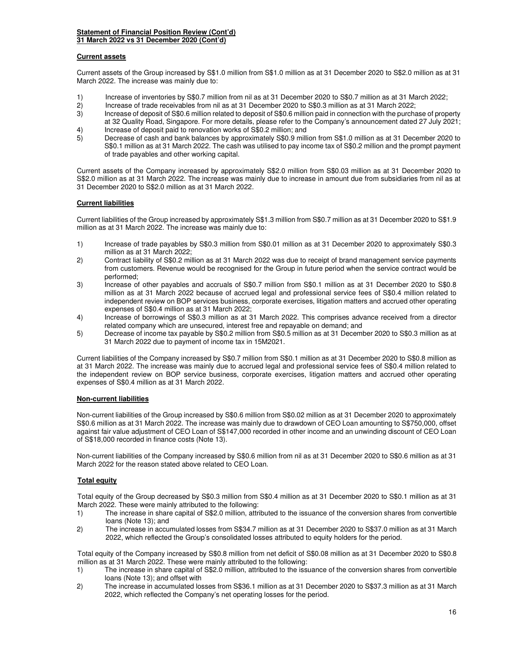#### **Statement of Financial Position Review (Cont'd) 31 March 2022 vs 31 December 2020 (Cont'd)**

### **Current assets**

Current assets of the Group increased by S\$1.0 million from S\$1.0 million as at 31 December 2020 to S\$2.0 million as at 31 March 2022. The increase was mainly due to:

- 
- 1) Increase of inventories by S\$0.7 million from nil as at 31 December 2020 to S\$0.7 million as at 31 March 2022;<br>2) Increase of trade receivables from nil as at 31 December 2020 to S\$0.3 million as at 31 March 2022; 2) Increase of trade receivables from nil as at 31 December 2020 to S\$0.3 million as at 31 March 2022;
- Increase of deposit of S\$0.6 million related to deposit of S\$0.6 million paid in connection with the purchase of property at 32 Quality Road, Singapore. For more details, please refer to the Company's announcement dated 27 July 2021;
- 4) Increase of deposit paid to renovation works of S\$0.2 million; and 5) Decrease of cash and bank balances by approximately S\$0.9 million
- 5) Decrease of cash and bank balances by approximately S\$0.9 million from S\$1.0 million as at 31 December 2020 to S\$0.1 million as at 31 March 2022. The cash was utilised to pay income tax of S\$0.2 million and the prompt payment of trade payables and other working capital.

Current assets of the Company increased by approximately S\$2.0 million from S\$0.03 million as at 31 December 2020 to S\$2.0 million as at 31 March 2022. The increase was mainly due to increase in amount due from subsidiaries from nil as at 31 December 2020 to S\$2.0 million as at 31 March 2022.

### **Current liabilities**

Current liabilities of the Group increased by approximately S\$1.3 million from S\$0.7 million as at 31 December 2020 to S\$1.9 million as at 31 March 2022. The increase was mainly due to:

- 1) Increase of trade payables by S\$0.3 million from S\$0.01 million as at 31 December 2020 to approximately S\$0.3 million as at 31 March 2022;
- 2) Contract liability of S\$0.2 million as at 31 March 2022 was due to receipt of brand management service payments from customers. Revenue would be recognised for the Group in future period when the service contract would be performed;
- 3) Increase of other payables and accruals of S\$0.7 million from S\$0.1 million as at 31 December 2020 to S\$0.8 million as at 31 March 2022 because of accrued legal and professional service fees of S\$0.4 million related to independent review on BOP services business, corporate exercises, litigation matters and accrued other operating expenses of S\$0.4 million as at 31 March 2022;
- 4) Increase of borrowings of S\$0.3 million as at 31 March 2022. This comprises advance received from a director related company which are unsecured, interest free and repayable on demand; and
- 5) Decrease of income tax payable by S\$0.2 million from S\$0.5 million as at 31 December 2020 to S\$0.3 million as at 31 March 2022 due to payment of income tax in 15M2021.

Current liabilities of the Company increased by S\$0.7 million from S\$0.1 million as at 31 December 2020 to S\$0.8 million as at 31 March 2022. The increase was mainly due to accrued legal and professional service fees of S\$0.4 million related to the independent review on BOP service business, corporate exercises, litigation matters and accrued other operating expenses of S\$0.4 million as at 31 March 2022.

# **Non-current liabilities**

Non-current liabilities of the Group increased by S\$0.6 million from S\$0.02 million as at 31 December 2020 to approximately S\$0.6 million as at 31 March 2022. The increase was mainly due to drawdown of CEO Loan amounting to S\$750,000, offset against fair value adjustment of CEO Loan of S\$147,000 recorded in other income and an unwinding discount of CEO Loan of S\$18,000 recorded in finance costs (Note 13).

Non-current liabilities of the Company increased by S\$0.6 million from nil as at 31 December 2020 to S\$0.6 million as at 31 March 2022 for the reason stated above related to CEO Loan.

# **Total equity**

Total equity of the Group decreased by S\$0.3 million from S\$0.4 million as at 31 December 2020 to S\$0.1 million as at 31 March 2022. These were mainly attributed to the following:

- 1) The increase in share capital of S\$2.0 million, attributed to the issuance of the conversion shares from convertible loans (Note 13); and
- 2) The increase in accumulated losses from S\$34.7 million as at 31 December 2020 to S\$37.0 million as at 31 March 2022, which reflected the Group's consolidated losses attributed to equity holders for the period.

Total equity of the Company increased by S\$0.8 million from net deficit of S\$0.08 million as at 31 December 2020 to S\$0.8 million as at 31 March 2022. These were mainly attributed to the following:

- 1) The increase in share capital of S\$2.0 million, attributed to the issuance of the conversion shares from convertible loans (Note 13); and offset with
- 2) The increase in accumulated losses from S\$36.1 million as at 31 December 2020 to S\$37.3 million as at 31 March 2022, which reflected the Company's net operating losses for the period.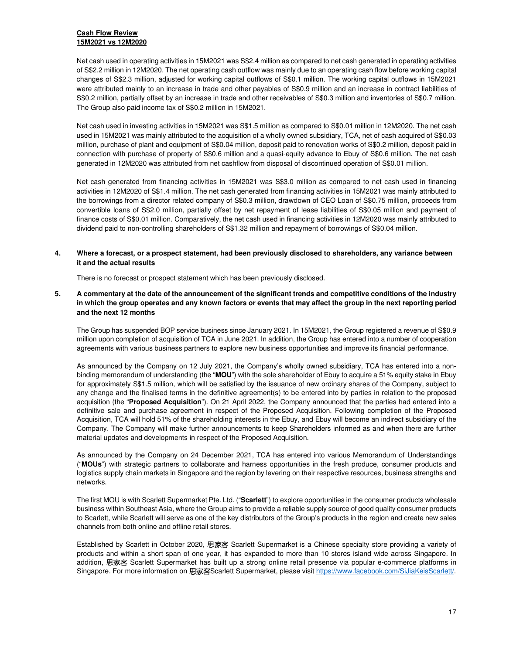# **Cash Flow Review 15M2021 vs 12M2020**

Net cash used in operating activities in 15M2021 was S\$2.4 million as compared to net cash generated in operating activities of S\$2.2 million in 12M2020. The net operating cash outflow was mainly due to an operating cash flow before working capital changes of S\$2.3 million, adjusted for working capital outflows of S\$0.1 million. The working capital outflows in 15M2021 were attributed mainly to an increase in trade and other payables of S\$0.9 million and an increase in contract liabilities of S\$0.2 million, partially offset by an increase in trade and other receivables of S\$0.3 million and inventories of S\$0.7 million. The Group also paid income tax of S\$0.2 million in 15M2021.

Net cash used in investing activities in 15M2021 was S\$1.5 million as compared to S\$0.01 million in 12M2020. The net cash used in 15M2021 was mainly attributed to the acquisition of a wholly owned subsidiary, TCA, net of cash acquired of S\$0.03 million, purchase of plant and equipment of S\$0.04 million, deposit paid to renovation works of S\$0.2 million, deposit paid in connection with purchase of property of S\$0.6 million and a quasi-equity advance to Ebuy of S\$0.6 million. The net cash generated in 12M2020 was attributed from net cashflow from disposal of discontinued operation of S\$0.01 million.

Net cash generated from financing activities in 15M2021 was S\$3.0 million as compared to net cash used in financing activities in 12M2020 of S\$1.4 million. The net cash generated from financing activities in 15M2021 was mainly attributed to the borrowings from a director related company of S\$0.3 million, drawdown of CEO Loan of S\$0.75 million, proceeds from convertible loans of S\$2.0 million, partially offset by net repayment of lease liabilities of S\$0.05 million and payment of finance costs of S\$0.01 million. Comparatively, the net cash used in financing activities in 12M2020 was mainly attributed to dividend paid to non-controlling shareholders of S\$1.32 million and repayment of borrowings of S\$0.04 million.

# **4. Where a forecast, or a prospect statement, had been previously disclosed to shareholders, any variance between it and the actual results**

There is no forecast or prospect statement which has been previously disclosed.

**5. A commentary at the date of the announcement of the significant trends and competitive conditions of the industry in which the group operates and any known factors or events that may affect the group in the next reporting period and the next 12 months** 

The Group has suspended BOP service business since January 2021. In 15M2021, the Group registered a revenue of S\$0.9 million upon completion of acquisition of TCA in June 2021. In addition, the Group has entered into a number of cooperation agreements with various business partners to explore new business opportunities and improve its financial performance.

As announced by the Company on 12 July 2021, the Company's wholly owned subsidiary, TCA has entered into a nonbinding memorandum of understanding (the "**MOU**") with the sole shareholder of Ebuy to acquire a 51% equity stake in Ebuy for approximately S\$1.5 million, which will be satisfied by the issuance of new ordinary shares of the Company, subject to any change and the finalised terms in the definitive agreement(s) to be entered into by parties in relation to the proposed acquisition (the "**Proposed Acquisition**"). On 21 April 2022, the Company announced that the parties had entered into a definitive sale and purchase agreement in respect of the Proposed Acquisition. Following completion of the Proposed Acquisition, TCA will hold 51% of the shareholding interests in the Ebuy, and Ebuy will become an indirect subsidiary of the Company. The Company will make further announcements to keep Shareholders informed as and when there are further material updates and developments in respect of the Proposed Acquisition.

As announced by the Company on 24 December 2021, TCA has entered into various Memorandum of Understandings ("**MOUs**") with strategic partners to collaborate and harness opportunities in the fresh produce, consumer products and logistics supply chain markets in Singapore and the region by levering on their respective resources, business strengths and networks.

The first MOU is with Scarlett Supermarket Pte. Ltd. ("**Scarlett**") to explore opportunities in the consumer products wholesale business within Southeast Asia, where the Group aims to provide a reliable supply source of good quality consumer products to Scarlett, while Scarlett will serve as one of the key distributors of the Group's products in the region and create new sales channels from both online and offline retail stores.

Established by Scarlett in October 2020, 思家客 Scarlett Supermarket is a Chinese specialty store providing a variety of products and within a short span of one year, it has expanded to more than 10 stores island wide across Singapore. In addition, 思家客 Scarlett Supermarket has built up a strong online retail presence via popular e-commerce platforms in Singapore. For more information on 思家客Scarlett Supermarket, please visit https://www.facebook.com/SiJiaKeisScarlett/.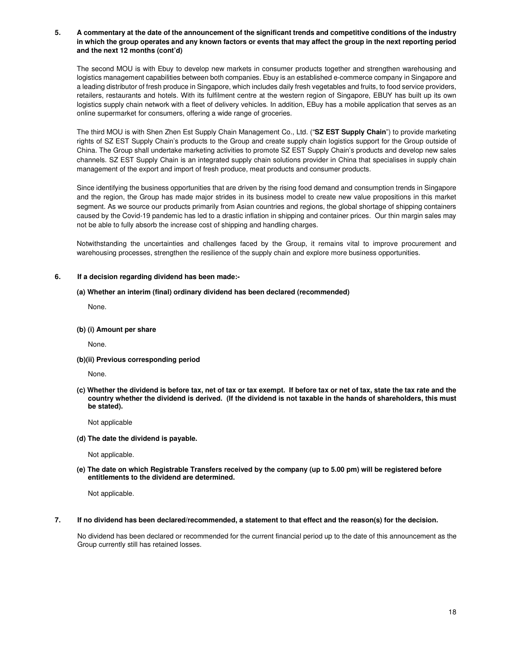### **5. A commentary at the date of the announcement of the significant trends and competitive conditions of the industry in which the group operates and any known factors or events that may affect the group in the next reporting period and the next 12 months (cont'd)**

The second MOU is with Ebuy to develop new markets in consumer products together and strengthen warehousing and logistics management capabilities between both companies. Ebuy is an established e-commerce company in Singapore and a leading distributor of fresh produce in Singapore, which includes daily fresh vegetables and fruits, to food service providers, retailers, restaurants and hotels. With its fulfilment centre at the western region of Singapore, EBUY has built up its own logistics supply chain network with a fleet of delivery vehicles. In addition, EBuy has a mobile application that serves as an online supermarket for consumers, offering a wide range of groceries.

The third MOU is with Shen Zhen Est Supply Chain Management Co., Ltd. ("**SZ EST Supply Chain**") to provide marketing rights of SZ EST Supply Chain's products to the Group and create supply chain logistics support for the Group outside of China. The Group shall undertake marketing activities to promote SZ EST Supply Chain's products and develop new sales channels. SZ EST Supply Chain is an integrated supply chain solutions provider in China that specialises in supply chain management of the export and import of fresh produce, meat products and consumer products.

Since identifying the business opportunities that are driven by the rising food demand and consumption trends in Singapore and the region, the Group has made major strides in its business model to create new value propositions in this market segment. As we source our products primarily from Asian countries and regions, the global shortage of shipping containers caused by the Covid-19 pandemic has led to a drastic inflation in shipping and container prices. Our thin margin sales may not be able to fully absorb the increase cost of shipping and handling charges.

Notwithstanding the uncertainties and challenges faced by the Group, it remains vital to improve procurement and warehousing processes, strengthen the resilience of the supply chain and explore more business opportunities.

#### **6. If a decision regarding dividend has been made:-**

#### **(a) Whether an interim (final) ordinary dividend has been declared (recommended)**

None.

#### **(b) (i) Amount per share**

None.

#### **(b)(ii) Previous corresponding period**

None.

**(c) Whether the dividend is before tax, net of tax or tax exempt. If before tax or net of tax, state the tax rate and the country whether the dividend is derived. (If the dividend is not taxable in the hands of shareholders, this must be stated).**

Not applicable

**(d) The date the dividend is payable.** 

Not applicable.

**(e) The date on which Registrable Transfers received by the company (up to 5.00 pm) will be registered before entitlements to the dividend are determined.**

Not applicable.

## **7. If no dividend has been declared/recommended, a statement to that effect and the reason(s) for the decision.**

No dividend has been declared or recommended for the current financial period up to the date of this announcement as the Group currently still has retained losses.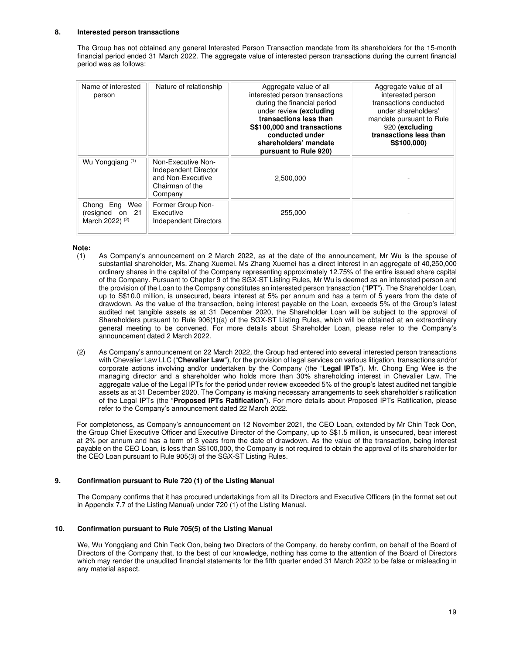#### **8. Interested person transactions**

The Group has not obtained any general Interested Person Transaction mandate from its shareholders for the 15-month financial period ended 31 March 2022. The aggregate value of interested person transactions during the current financial period was as follows:

| Name of interested<br>person                                   | Nature of relationship                                                                        | Aggregate value of all<br>interested person transactions<br>during the financial period<br>under review (excluding<br>transactions less than<br>S\$100,000 and transactions<br>conducted under<br>shareholders' mandate<br>pursuant to Rule 920) | Aggregate value of all<br>interested person<br>transactions conducted<br>under shareholders'<br>mandate pursuant to Rule<br>920 (excluding<br>transactions less than<br>S\$100,000) |
|----------------------------------------------------------------|-----------------------------------------------------------------------------------------------|--------------------------------------------------------------------------------------------------------------------------------------------------------------------------------------------------------------------------------------------------|-------------------------------------------------------------------------------------------------------------------------------------------------------------------------------------|
| Wu Yongqiang (1)                                               | Non-Executive Non-<br>Independent Director<br>and Non-Executive<br>Chairman of the<br>Company | 2,500,000                                                                                                                                                                                                                                        |                                                                                                                                                                                     |
| Chong Eng Wee<br>(resigned on 21<br>March 2022) <sup>(2)</sup> | Former Group Non-<br>Executive<br><b>Independent Directors</b>                                | 255,000                                                                                                                                                                                                                                          |                                                                                                                                                                                     |

#### **Note:**

- (1) As Company's announcement on 2 March 2022, as at the date of the announcement, Mr Wu is the spouse of substantial shareholder, Ms. Zhang Xuemei. Ms Zhang Xuemei has a direct interest in an aggregate of 40,250,000 ordinary shares in the capital of the Company representing approximately 12.75% of the entire issued share capital of the Company. Pursuant to Chapter 9 of the SGX-ST Listing Rules, Mr Wu is deemed as an interested person and the provision of the Loan to the Company constitutes an interested person transaction ("**IPT**"). The Shareholder Loan, up to S\$10.0 million, is unsecured, bears interest at 5% per annum and has a term of 5 years from the date of drawdown. As the value of the transaction, being interest payable on the Loan, exceeds 5% of the Group's latest audited net tangible assets as at 31 December 2020, the Shareholder Loan will be subject to the approval of Shareholders pursuant to Rule 906(1)(a) of the SGX-ST Listing Rules, which will be obtained at an extraordinary general meeting to be convened. For more details about Shareholder Loan, please refer to the Company's announcement dated 2 March 2022.
- (2) As Company's announcement on 22 March 2022, the Group had entered into several interested person transactions with Chevalier Law LLC ("**Chevalier Law**"), for the provision of legal services on various litigation, transactions and/or corporate actions involving and/or undertaken by the Company (the "**Legal IPTs**"). Mr. Chong Eng Wee is the managing director and a shareholder who holds more than 30% shareholding interest in Chevalier Law. The aggregate value of the Legal IPTs for the period under review exceeded 5% of the group's latest audited net tangible assets as at 31 December 2020. The Company is making necessary arrangements to seek shareholder's ratification of the Legal IPTs (the "**Proposed IPTs Ratification**"). For more details about Proposed IPTs Ratification, please refer to the Company's announcement dated 22 March 2022.

For completeness, as Company's announcement on 12 November 2021, the CEO Loan, extended by Mr Chin Teck Oon, the Group Chief Executive Officer and Executive Director of the Company, up to S\$1.5 million, is unsecured, bear interest at 2% per annum and has a term of 3 years from the date of drawdown. As the value of the transaction, being interest payable on the CEO Loan, is less than S\$100,000, the Company is not required to obtain the approval of its shareholder for the CEO Loan pursuant to Rule 905(3) of the SGX-ST Listing Rules.

# **9. Confirmation pursuant to Rule 720 (1) of the Listing Manual**

The Company confirms that it has procured undertakings from all its Directors and Executive Officers (in the format set out in Appendix 7.7 of the Listing Manual) under 720 (1) of the Listing Manual.

#### **10. Confirmation pursuant to Rule 705(5) of the Listing Manual**

We, Wu Yongqiang and Chin Teck Oon, being two Directors of the Company, do hereby confirm, on behalf of the Board of Directors of the Company that, to the best of our knowledge, nothing has come to the attention of the Board of Directors which may render the unaudited financial statements for the fifth quarter ended 31 March 2022 to be false or misleading in any material aspect.